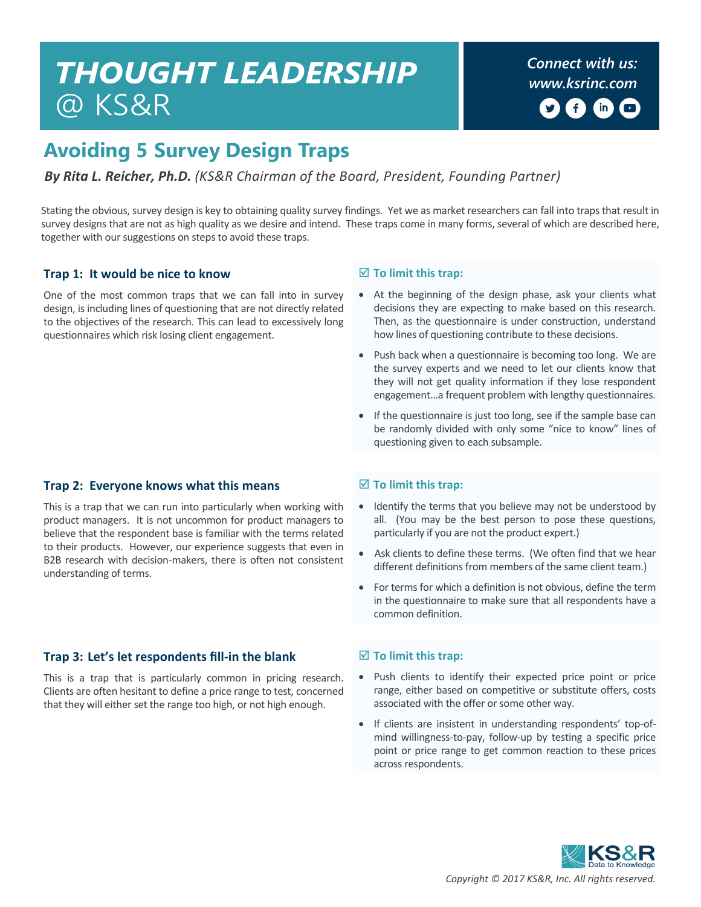# **THOUGHT LEADERSHIP** @ KS&R

*Connect with us: [www.ksrinc.com](http://www.ksrinc.com/)*  $\mathsf{in}$ 

## **Avoiding 5 Survey Design Traps**

#### *By Rita L. Reicher, Ph.D. (KS&R Chairman of the Board, President, Founding Partner)*

Stating the obvious, survey design is key to obtaining quality survey findings. Yet we as market researchers can fall into traps that result in survey designs that are not as high quality as we desire and intend. These traps come in many forms, several of which are described here, together with our suggestions on steps to avoid these traps.

#### **Trap 1: It would be nice to know**

One of the most common traps that we can fall into in survey design, is including lines of questioning that are not directly related to the objectives of the research. This can lead to excessively long questionnaires which risk losing client engagement.

#### **Trap 2: Everyone knows what this means**

This is a trap that we can run into particularly when working with product managers. It is not uncommon for product managers to believe that the respondent base is familiar with the terms related to their products. However, our experience suggests that even in B2B research with decision-makers, there is often not consistent understanding of terms.

#### **Trap 3: Let's let respondents fill-in the blank**

This is a trap that is particularly common in pricing research. Clients are often hesitant to define a price range to test, concerned that they will either set the range too high, or not high enough.

#### **To limit this trap:**

- At the beginning of the design phase, ask your clients what decisions they are expecting to make based on this research. Then, as the questionnaire is under construction, understand how lines of questioning contribute to these decisions.
- Push back when a questionnaire is becoming too long. We are the survey experts and we need to let our clients know that they will not get quality information if they lose respondent engagement…a frequent problem with lengthy questionnaires.
- If the questionnaire is just too long, see if the sample base can be randomly divided with only some "nice to know" lines of questioning given to each subsample.

#### **To limit this trap:**

- Identify the terms that you believe may not be understood by all. (You may be the best person to pose these questions, particularly if you are not the product expert.)
- Ask clients to define these terms. (We often find that we hear different definitions from members of the same client team.)
- For terms for which a definition is not obvious, define the term in the questionnaire to make sure that all respondents have a common definition.

#### **To limit this trap:**

- Push clients to identify their expected price point or price range, either based on competitive or substitute offers, costs associated with the offer or some other way.
- If clients are insistent in understanding respondents' top-ofmind willingness-to-pay, follow-up by testing a specific price point or price range to get common reaction to these prices across respondents.

*Copyright © 2017 KS&R, Inc. All rights reserved.*